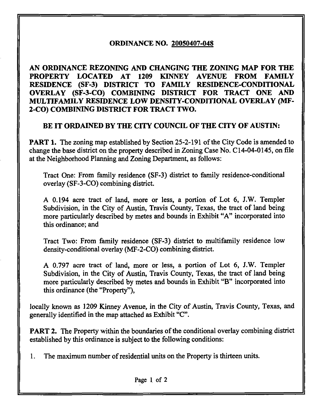## ORDINANCE NO. 20050407-048

AN ORDINANCE REZONING AND CHANGING THE ZONING MAP FOR THE PROPERTY LOCATED AT 1209 KINNEY AVENUE FROM FAMILY RESIDENCE (SF-3) DISTRICT TO FAMILY RESIDENCE-CONDITIONAL OVERLAY (SF-3-CO) COMBINING DISTRICT FOR TRACT ONE AND MULTIFAMILY RESIDENCE LOW DENSITY-CONDITIONAL OVERLAY (MF-2-CO) COMBINING DISTRICT FOR TRACT TWO.

### BE IT ORDAINED BY THE CITY COUNCIL OF THE CITY OF AUSTIN:

PART 1. The zoning map established by Section 25-2-191 of the City Code is amended to change the base district on the property described in Zoning Case No. C14-04-0145, on file at the Neighborhood Planning and Zoning Department, as follows:

Tract One: From family residence (SF-3) district to family residence-conditional overlay (SF-3-CO) combining district.

A 0.194 acre tract of land, more or less, a portion of Lot 6, J.W. Templer Subdivision, in the City of Austin, Travis County, Texas, the tract of land being more particularly described by metes and bounds in Exhibit "A" incorporated into this ordinance; and

Tract Two: From family residence (SF-3) district to multifamily residence low density-conditional overlay (MF-2-CO) combining district.

A 0.797 acre tract of land, more or less, a portion of Lot 6, J.W. Templer Subdivision, in the City of Austin, Travis County, Texas, the tract of land being more particularly described by metes and bounds in Exhibit "B" incorporated into this ordinance (the "Property"),

locally known as 1209 Kinney Avenue, in the City of Austin, Travis County, Texas, and generally identified in the map attached as Exhibit "C".

**PART 2.** The Property within the boundaries of the conditional overlay combining district established by this ordinance is subject to the following conditions:

1. The maximum number of residential units on the Property is thirteen units.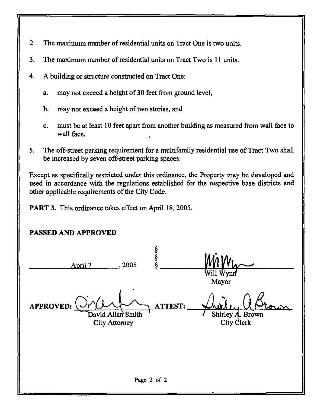- 2. The maximum number of residential units on Tract One is two units.
- 3. The maximum number of residential units on Tract Two is 11 units.
- 4. A building or structure constructed on Tract One:
	- a. may not exceed a height of 30 feet from ground level,
	- b. may not exceed a height of two stories, and
	- c. must be at least 10 feet apart from another building as measured from wall face to wall face.
- 5. The off-street parking requirement for a multifamily residential use of Tract Two shall be increased by seven off-street parking spaces.

Except as specifically restricted under this ordinance, the Property may be developed and used in accordance with the regulations established for the respective base districts and other applicable requirements of the City Code.

PART 3. This ordinance takes effect on April 18, 2005.

# PASSED AND APPROVED

§<br>§ April 7 . 2005 Will  $\mathbf{W}_i$ Mayor APPROVED: ATTEST: David Allan Smith Shirley **A**. Brown<br>City Clerk City Attorney Page 2 of 2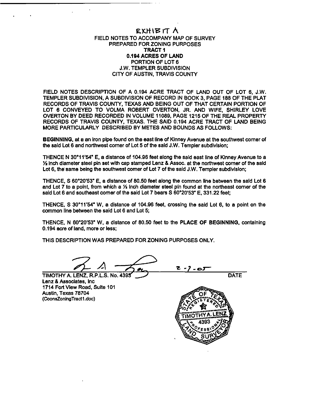### EXHIBIT A FIELD NOTES TO ACCOMPANY MAP OF SURVEY PREPARED FOR ZONING PURPOSES TRACT 1 0.194 ACRES OF LAND PORTION OF LOT 6 J.W. TEMPLER SUBDIVISION CITY OF AUSTIN, TRAVIS COUNTY

FIELD NOTES DESCRIPTION OF A 0.194 ACRE TRACT OF LAND OUT OF LOT 6. J.W. TEMPLER SUBDIVISION, A SUBDIVISION OF RECORD IN BOOK 3, PAGE 188 OF THE PLAT RECORDS OF TRAVIS COUNTY, TEXAS AND BEING OUT OF THAT CERTAIN PORTION OF LOT 6 CONVEYED TO VOLMA ROBERT OVERTON, JR. AND WIFE. SHIRLEY LOVE OVERTON BY DEED RECORDED IN VOLUME 11089, PAGE 1215 OF THE REAL PROPERTY RECORDS OF TRAVIS COUNTY, TEXAS. THE SAID 0.194 ACRE TRACT OF LAND BEING MORE PARTICULARLY DESCRIBED BY METES AND BOUNDS AS FOLLOWS:

BEGINNING, at a an Iron pipe found on the east line of Kinney Avenue at the southwest comer of the said Lot 6 and northwest corner of Lot 5 of the said J.W. Tempter subdivision;

THENCE N 30° 11'54" E, a distance of 104.96 feet along the said east line of Kinney Avenue to a !/a Inch diameter steel pin set with cap stamped Lenz & Assoc. at the northwest corner of the said Lot 6, the same being the southwest comer of Lot 7 of the said J.W. Templer subdivision;

THENCE, S 60°20'53" E, a distance of 80.50 feet along the common line between the said Lot 6 and Lot  $7$  to a point, from which a  $\frac{1}{2}$  inch diameter steel pin found at the northeast corner of the said Lot 6 and southeast comer of the said Lot 7 bears S 60°20'53" E, 331.22 feet;

THENCE, S 30° 11'54" W. a distance of 104.96 feet, crossing the said Lot 6, to a point on the common line between the said Lot 6 and Lot 5;

THENCE. N 60°20'53" W, a distance of 80.50 feet to the PLACE OF BEGINNING, containing 0.194 acre of land, more or less;

THIS DESCRIPTION WAS PREPARED FOR ZONING PURPOSES ONLY.

 $\mathcal{L}$ رہ۔ ? - ح DATE

TIMOTHY A. LENZ. R.P.L.S. No. 4395 Lenz & Associates, Inc 1714 Fort View Road, Suite 101 Austin, Texas 78704 (CoonsZonlngTractl .doc)

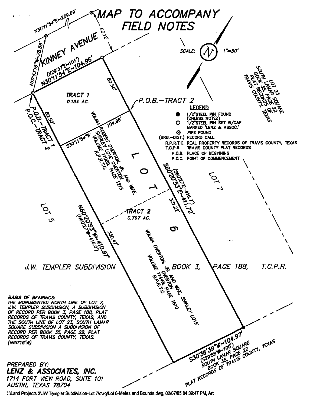

;:\Land Projects 3UW Templer Subdivision-Lot 7\dwg\Lot 6-Metes and Bounds.dwg, 02/07/05 04:39:47 PM, Art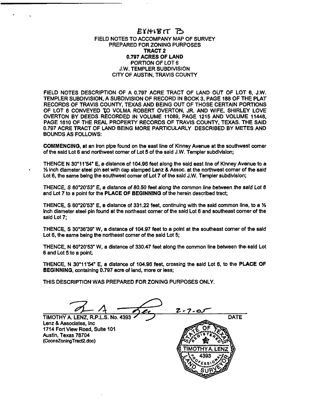### EYHIBIT B FIELD NOTES TO ACCOMPANY MAP OF SURVEY PREPARED FOR ZONING PURPOSES TRACT 2 0.797 ACRES OF LAND PORTION OF LOT 6 J.W. TEMPLER SUBDIVISION CITY OF AUSTIN. TRAVIS COUNTY

FIELD NOTES DESCRIPTION OF A 0.797 ACRE TRACT OF LAND OUT OF LOT 6, J.W. TEMPLER SUBDIVISION, A SUBDIVISION OF RECORD IN BOOK 3, PAGE 168 OF THE PLAT RECORDS OF TRAVIS COUNTY, TEXAS AND BEING OUT OF THOSE CERTAIN PORTIONS OF LOT 6 CONVEYED TO VOLMA ROBERT OVERTON, JR. AND WIFE, SHIRLEY LOVE OVERTON BY DEEDS RECORDED IN VOLUME 11089, PAGE 1215 AND VOLUME 11448, PAGE 1610 OF THE REAL PROPERTY RECORDS OF TRAVIS COUNTY, TEXAS. THE SAID 0.797 ACRE TRACT OF LAND BEING MORE PARTICULARLY DESCRIBED BY METES AND BOUNDS AS FOLLOWS:

COMMENCING, at an Iron pipe found on the east line of Klnney Avenue at the southwest comer of the said Lot 6 and northwest comer of Lot 5 of the said J.W. Templer subdivision;

THENCE N 30° 11'54" E, a distance of 104.96 feet along the said east line of Klnney Avenue to a 1/<sub>2</sub> inch diameter steel pin set with cap stamped Lenz & Assoc. at the northwest corner of the said Lot 6, the same being the southwest comer of Lot 7 of the said J.W. Templer subdivision;

THENCE, S 60°20'53" E, a distance of 80.50 feet along the common line between the said Lot 6 and Lot 7 to a point for the PLACE OF BEGINNING of the herein described tract;

THENCE, S 60°20'53" E, a distance of 331.22 feet, continuing with the said common line, to a  $\mathcal{V}_1$ inch diameter steel pin found at the northeast comer of the said Lot 6 and southeast corner of the said Lot 7;

THENCE, S 30°36'39" W, a distance of 104.97 feet to a point at the southeast comer of the said Lot 6, the same being the northeast comer of the said Lot 5;

THENCE, N 60°20'53" W. a distance of 330.47 feet along the common line between the.said Lot 6 and Lot 5 to a point;

THENCE, N 30° 11'54" E, a distance of 104.96 feet, crossing the said Lot 8, to the PLACE OF BEGINNING, containing 0.797 acre of land, more or less;

THIS DESCRIPTION WAS PREPARED FOR ZONING PURPOSES ONLY.

 $\frac{U_1 + 1}{U_2 + 1}$   $\frac{U_3 + 1}{U_3 + 1}$   $\frac{U_4 + 1}{U_4 + 1}$   $\frac{U_5 + 1}{U_5 + 1}$   $\frac{U_6 + 1}{U_6 + 1}$  DATE

Lenz & Associates, Inc 1714 Fort View Road, Suite 101 Austin. Texas 78704 (CoonsZonlngTract2.doc)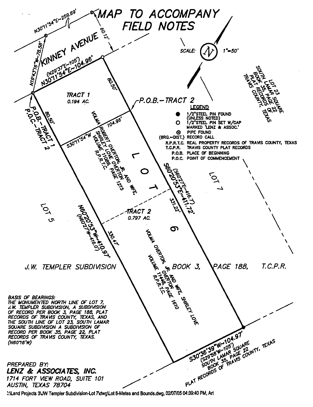